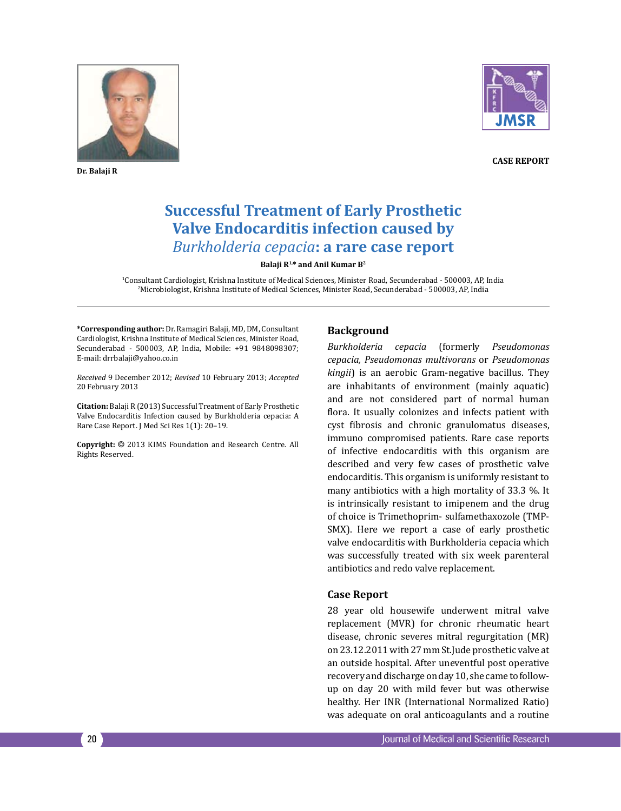

**Dr. Balaji R**



**Case Report**

# **Successful Treatment of Early Prosthetic Valve Endocarditis infection caused by** *Burkholderia cepacia***: a rare case report**

**Balaji R1,\* and Anil Kumar B2**

1 Consultant Cardiologist, Krishna Institute of Medical Sciences, Minister Road, Secunderabad - 500003, AP, India 2 Microbiologist, Krishna Institute of Medical Sciences, Minister Road, Secunderabad - 500003, AP, India

**\*Corresponding author:** Dr. Ramagiri Balaji, MD, DM, Consultant Cardiologist, Krishna Institute of Medical Sciences, Minister Road, Secunderabad - 500003, AP, India, Mobile: +91 9848098307; E-mail: drrbalaji@yahoo.co.in

*Received* 9 December 2012; *Revised* 10 February 2013; *Accepted*  20 February 2013

**Citation:** Balaji R (2013) Successful Treatment of Early Prosthetic Valve Endocarditis Infection caused by Burkholderia cepacia: A Rare Case Report. J Med Sci Res 1(1): 20–19.

**Copyright:** © 2013 KIMS Foundation and Research Centre. All Rights Reserved.

## **Background**

*Burkholderia cepacia* (formerly *Pseudomonas cepacia, Pseudomonas multivorans* or *Pseudomonas kingii*) is an aerobic Gram-negative bacillus. They are inhabitants of environment (mainly aquatic) and are not considered part of normal human flora. It usually colonizes and infects patient with cyst fibrosis and chronic granulomatus diseases, immuno compromised patients. Rare case reports of infective endocarditis with this organism are described and very few cases of prosthetic valve endocarditis. This organism is uniformly resistant to many antibiotics with a high mortality of 33.3 %. It is intrinsically resistant to imipenem and the drug of choice is Trimethoprim- sulfamethaxozole (TMP-SMX). Here we report a case of early prosthetic valve endocarditis with Burkholderia cepacia which was successfully treated with six week parenteral antibiotics and redo valve replacement.

## **Case Report**

28 year old housewife underwent mitral valve replacement (MVR) for chronic rheumatic heart disease, chronic severes mitral regurgitation (MR) on 23.12.2011 with 27 mm St.Jude prosthetic valve at an outside hospital. After uneventful post operative recovery and discharge on day 10, she came to followup on day 20 with mild fever but was otherwise healthy. Her INR (International Normalized Ratio) was adequate on oral anticoagulants and a routine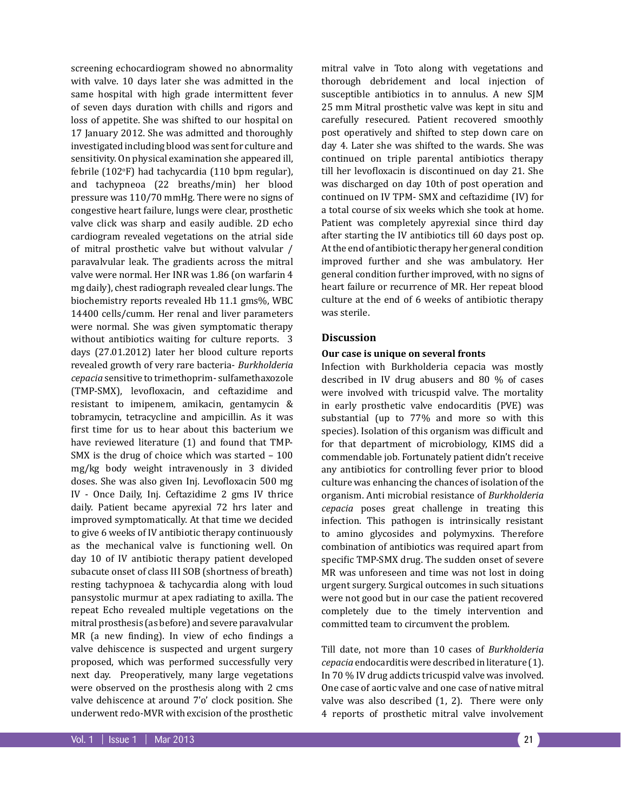screening echocardiogram showed no abnormality with valve. 10 days later she was admitted in the same hospital with high grade intermittent fever of seven days duration with chills and rigors and loss of appetite. She was shifted to our hospital on 17 January 2012. She was admitted and thoroughly investigated including blood was sent for culture and sensitivity. On physical examination she appeared ill, febrile (102°F) had tachycardia (110 bpm regular), and tachypneoa (22 breaths/min) her blood pressure was 110/70 mmHg. There were no signs of congestive heart failure, lungs were clear, prosthetic valve click was sharp and easily audible. 2D echo cardiogram revealed vegetations on the atrial side of mitral prosthetic valve but without valvular / paravalvular leak. The gradients across the mitral valve were normal. Her INR was 1.86 (on warfarin 4 mg daily), chest radiograph revealed clear lungs. The biochemistry reports revealed Hb 11.1 gms%, WBC 14400 cells/cumm. Her renal and liver parameters were normal. She was given symptomatic therapy without antibiotics waiting for culture reports. 3 days (27.01.2012) later her blood culture reports revealed growth of very rare bacteria- *Burkholderia cepacia* sensitive to trimethoprim- sulfamethaxozole (TMP-SMX), levofloxacin, and ceftazidime and resistant to imipenem, amikacin, gentamycin & tobramycin, tetracycline and ampicillin. As it was first time for us to hear about this bacterium we have reviewed literature (1) and found that TMP-SMX is the drug of choice which was started – 100 mg/kg body weight intravenously in 3 divided doses. She was also given Inj. Levofloxacin 500 mg IV - Once Daily, Inj. Ceftazidime 2 gms IV thrice daily. Patient became apyrexial 72 hrs later and improved symptomatically. At that time we decided to give 6 weeks of IV antibiotic therapy continuously as the mechanical valve is functioning well. On day 10 of IV antibiotic therapy patient developed subacute onset of class III SOB (shortness of breath) resting tachypnoea & tachycardia along with loud pansystolic murmur at apex radiating to axilla. The repeat Echo revealed multiple vegetations on the mitral prosthesis (as before) and severe paravalvular MR (a new finding). In view of echo findings a valve dehiscence is suspected and urgent surgery proposed, which was performed successfully very next day. Preoperatively, many large vegetations were observed on the prosthesis along with 2 cms valve dehiscence at around 7'o' clock position. She underwent redo-MVR with excision of the prosthetic

mitral valve in Toto along with vegetations and thorough debridement and local injection of susceptible antibiotics in to annulus. A new SJM 25 mm Mitral prosthetic valve was kept in situ and carefully resecured. Patient recovered smoothly post operatively and shifted to step down care on day 4. Later she was shifted to the wards. She was continued on triple parental antibiotics therapy till her levofloxacin is discontinued on day 21. She was discharged on day 10th of post operation and continued on IV TPM- SMX and ceftazidime (IV) for a total course of six weeks which she took at home. Patient was completely apyrexial since third day after starting the IV antibiotics till 60 days post op. At the end of antibiotic therapy her general condition improved further and she was ambulatory. Her general condition further improved, with no signs of heart failure or recurrence of MR. Her repeat blood culture at the end of 6 weeks of antibiotic therapy was sterile.

### **Discussion**

#### **Our case is unique on several fronts**

Infection with Burkholderia cepacia was mostly described in IV drug abusers and 80 % of cases were involved with tricuspid valve. The mortality in early prosthetic valve endocarditis (PVE) was substantial (up to 77% and more so with this species). Isolation of this organism was difficult and for that department of microbiology, KIMS did a commendable job. Fortunately patient didn't receive any antibiotics for controlling fever prior to blood culture was enhancing the chances of isolation of the organism. Anti microbial resistance of *Burkholderia cepacia* poses great challenge in treating this infection. This pathogen is intrinsically resistant to amino glycosides and polymyxins. Therefore combination of antibiotics was required apart from specific TMP-SMX drug. The sudden onset of severe MR was unforeseen and time was not lost in doing urgent surgery. Surgical outcomes in such situations were not good but in our case the patient recovered completely due to the timely intervention and committed team to circumvent the problem.

Till date, not more than 10 cases of *Burkholderia cepacia* endocarditis were described in literature (1). In 70 % IV drug addicts tricuspid valve was involved. One case of aortic valve and one case of native mitral valve was also described (1, 2). There were only 4 reports of prosthetic mitral valve involvement